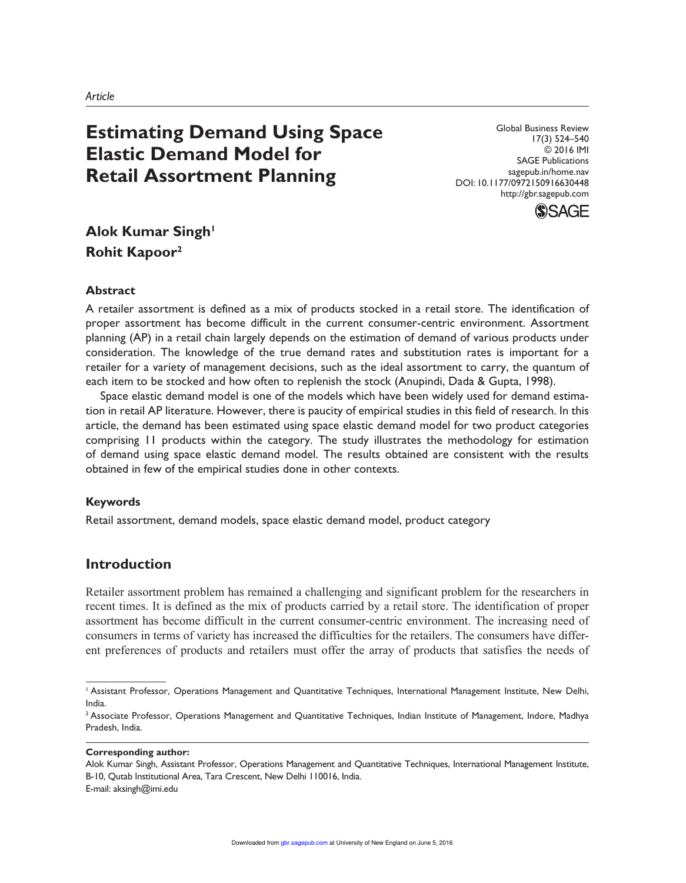# **Estimating Demand Using Space Elastic Demand Model for Retail Assortment Planning**

Global Business Review 17(3) 524–540 © 2016 IMI SAGE Publications sagepub.in/home.nav DOI: 10.1177/0972150916630448 http://gbr.sagepub.com



## **Alok Kumar Singh<sup>1</sup> Rohit Kapoor<sup>2</sup>**

#### **Abstract**

A retailer assortment is defined as a mix of products stocked in a retail store. The identification of proper assortment has become difficult in the current consumer-centric environment. Assortment planning (AP) in a retail chain largely depends on the estimation of demand of various products under consideration. The knowledge of the true demand rates and substitution rates is important for a retailer for a variety of management decisions, such as the ideal assortment to carry, the quantum of each item to be stocked and how often to replenish the stock (Anupindi, Dada & Gupta, 1998).

Space elastic demand model is one of the models which have been widely used for demand estimation in retail AP literature. However, there is paucity of empirical studies in this field of research. In this article, the demand has been estimated using space elastic demand model for two product categories comprising 11 products within the category. The study illustrates the methodology for estimation of demand using space elastic demand model. The results obtained are consistent with the results obtained in few of the empirical studies done in other contexts.

#### **Keywords**

Retail assortment, demand models, space elastic demand model, product category

## **Introduction**

Retailer assortment problem has remained a challenging and significant problem for the researchers in recent times. It is defined as the mix of products carried by a retail store. The identification of proper assortment has become difficult in the current consumer-centric environment. The increasing need of consumers in terms of variety has increased the difficulties for the retailers. The consumers have different preferences of products and retailers must offer the array of products that satisfies the needs of

**Corresponding author:**

Alok Kumar Singh, Assistant Professor, Operations Management and Quantitative Techniques, International Management Institute, B-10, Qutab Institutional Area, Tara Crescent, New Delhi 110016, India. E-mail: aksingh@imi.edu

<sup>&</sup>lt;sup>1</sup> Assistant Professor, Operations Management and Quantitative Techniques, International Management Institute, New Delhi, India.

<sup>&</sup>lt;sup>2</sup> Associate Professor, Operations Management and Quantitative Techniques, Indian Institute of Management, Indore, Madhya Pradesh, India.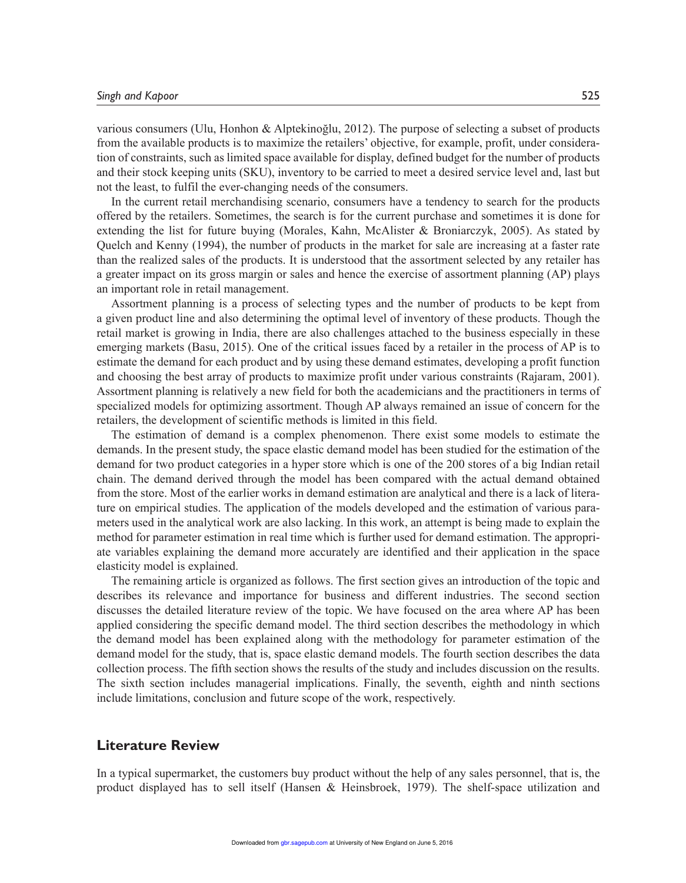various consumers (Ulu, Honhon & Alptekinoğlu, 2012). The purpose of selecting a subset of products from the available products is to maximize the retailers' objective, for example, profit, under consideration of constraints, such as limited space available for display, defined budget for the number of products and their stock keeping units (SKU), inventory to be carried to meet a desired service level and, last but not the least, to fulfil the ever-changing needs of the consumers.

In the current retail merchandising scenario, consumers have a tendency to search for the products offered by the retailers. Sometimes, the search is for the current purchase and sometimes it is done for extending the list for future buying (Morales, Kahn, McAlister & Broniarczyk, 2005). As stated by Quelch and Kenny (1994), the number of products in the market for sale are increasing at a faster rate than the realized sales of the products. It is understood that the assortment selected by any retailer has a greater impact on its gross margin or sales and hence the exercise of assortment planning (AP) plays an important role in retail management.

Assortment planning is a process of selecting types and the number of products to be kept from a given product line and also determining the optimal level of inventory of these products. Though the retail market is growing in India, there are also challenges attached to the business especially in these emerging markets (Basu, 2015). One of the critical issues faced by a retailer in the process of AP is to estimate the demand for each product and by using these demand estimates, developing a profit function and choosing the best array of products to maximize profit under various constraints (Rajaram, 2001). Assortment planning is relatively a new field for both the academicians and the practitioners in terms of specialized models for optimizing assortment. Though AP always remained an issue of concern for the retailers, the development of scientific methods is limited in this field.

The estimation of demand is a complex phenomenon. There exist some models to estimate the demands. In the present study, the space elastic demand model has been studied for the estimation of the demand for two product categories in a hyper store which is one of the 200 stores of a big Indian retail chain. The demand derived through the model has been compared with the actual demand obtained from the store. Most of the earlier works in demand estimation are analytical and there is a lack of literature on empirical studies. The application of the models developed and the estimation of various parameters used in the analytical work are also lacking. In this work, an attempt is being made to explain the method for parameter estimation in real time which is further used for demand estimation. The appropriate variables explaining the demand more accurately are identified and their application in the space elasticity model is explained.

The remaining article is organized as follows. The first section gives an introduction of the topic and describes its relevance and importance for business and different industries. The second section discusses the detailed literature review of the topic. We have focused on the area where AP has been applied considering the specific demand model. The third section describes the methodology in which the demand model has been explained along with the methodology for parameter estimation of the demand model for the study, that is, space elastic demand models. The fourth section describes the data collection process. The fifth section shows the results of the study and includes discussion on the results. The sixth section includes managerial implications. Finally, the seventh, eighth and ninth sections include limitations, conclusion and future scope of the work, respectively.

#### **Literature Review**

In a typical supermarket, the customers buy product without the help of any sales personnel, that is, the product displayed has to sell itself (Hansen & Heinsbroek, 1979). The shelf-space utilization and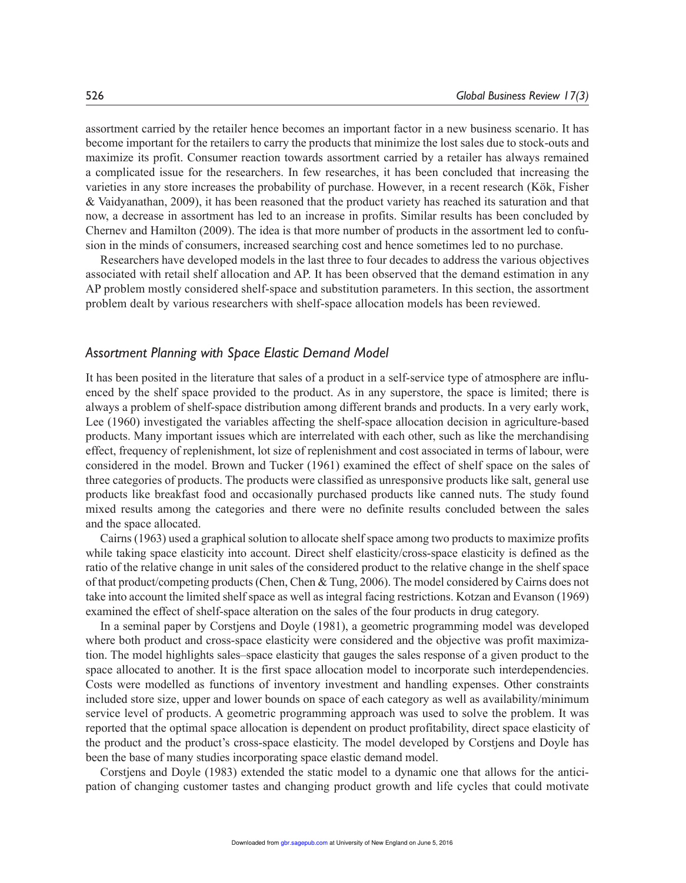assortment carried by the retailer hence becomes an important factor in a new business scenario. It has become important for the retailers to carry the products that minimize the lost sales due to stock-outs and maximize its profit. Consumer reaction towards assortment carried by a retailer has always remained a complicated issue for the researchers. In few researches, it has been concluded that increasing the varieties in any store increases the probability of purchase. However, in a recent research (Kök, Fisher & Vaidyanathan, 2009), it has been reasoned that the product variety has reached its saturation and that now, a decrease in assortment has led to an increase in profits. Similar results has been concluded by Chernev and Hamilton (2009). The idea is that more number of products in the assortment led to confusion in the minds of consumers, increased searching cost and hence sometimes led to no purchase.

Researchers have developed models in the last three to four decades to address the various objectives associated with retail shelf allocation and AP. It has been observed that the demand estimation in any AP problem mostly considered shelf-space and substitution parameters. In this section, the assortment problem dealt by various researchers with shelf-space allocation models has been reviewed.

#### *Assortment Planning with Space Elastic Demand Model*

It has been posited in the literature that sales of a product in a self-service type of atmosphere are influenced by the shelf space provided to the product. As in any superstore, the space is limited; there is always a problem of shelf-space distribution among different brands and products. In a very early work, Lee (1960) investigated the variables affecting the shelf-space allocation decision in agriculture-based products. Many important issues which are interrelated with each other, such as like the merchandising effect, frequency of replenishment, lot size of replenishment and cost associated in terms of labour, were considered in the model. Brown and Tucker (1961) examined the effect of shelf space on the sales of three categories of products. The products were classified as unresponsive products like salt, general use products like breakfast food and occasionally purchased products like canned nuts. The study found mixed results among the categories and there were no definite results concluded between the sales and the space allocated.

Cairns (1963) used a graphical solution to allocate shelf space among two products to maximize profits while taking space elasticity into account. Direct shelf elasticity/cross-space elasticity is defined as the ratio of the relative change in unit sales of the considered product to the relative change in the shelf space of that product/competing products (Chen, Chen & Tung, 2006). The model considered by Cairns does not take into account the limited shelf space as well as integral facing restrictions. Kotzan and Evanson (1969) examined the effect of shelf-space alteration on the sales of the four products in drug category.

In a seminal paper by Corstjens and Doyle (1981), a geometric programming model was developed where both product and cross-space elasticity were considered and the objective was profit maximization. The model highlights sales–space elasticity that gauges the sales response of a given product to the space allocated to another. It is the first space allocation model to incorporate such interdependencies. Costs were modelled as functions of inventory investment and handling expenses. Other constraints included store size, upper and lower bounds on space of each category as well as availability/minimum service level of products. A geometric programming approach was used to solve the problem. It was reported that the optimal space allocation is dependent on product profitability, direct space elasticity of the product and the product's cross-space elasticity. The model developed by Corstjens and Doyle has been the base of many studies incorporating space elastic demand model.

Corstjens and Doyle (1983) extended the static model to a dynamic one that allows for the anticipation of changing customer tastes and changing product growth and life cycles that could motivate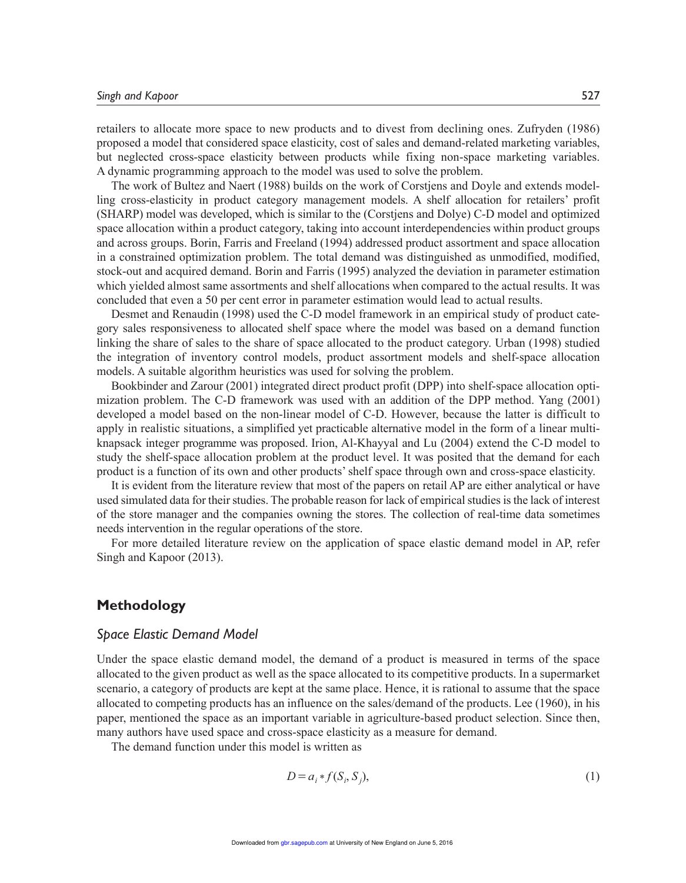retailers to allocate more space to new products and to divest from declining ones. Zufryden (1986) proposed a model that considered space elasticity, cost of sales and demand-related marketing variables, but neglected cross-space elasticity between products while fixing non-space marketing variables. A dynamic programming approach to the model was used to solve the problem.

The work of Bultez and Naert (1988) builds on the work of Corstjens and Doyle and extends modelling cross-elasticity in product category management models. A shelf allocation for retailers' profit (SHARP) model was developed, which is similar to the (Corstjens and Dolye) C-D model and optimized space allocation within a product category, taking into account interdependencies within product groups and across groups. Borin, Farris and Freeland (1994) addressed product assortment and space allocation in a constrained optimization problem. The total demand was distinguished as unmodified, modified, stock-out and acquired demand. Borin and Farris (1995) analyzed the deviation in parameter estimation which yielded almost same assortments and shelf allocations when compared to the actual results. It was concluded that even a 50 per cent error in parameter estimation would lead to actual results.

Desmet and Renaudin (1998) used the C-D model framework in an empirical study of product category sales responsiveness to allocated shelf space where the model was based on a demand function linking the share of sales to the share of space allocated to the product category. Urban (1998) studied the integration of inventory control models, product assortment models and shelf-space allocation models. A suitable algorithm heuristics was used for solving the problem.

Bookbinder and Zarour (2001) integrated direct product profit (DPP) into shelf-space allocation optimization problem. The C-D framework was used with an addition of the DPP method. Yang (2001) developed a model based on the non-linear model of C-D. However, because the latter is difficult to apply in realistic situations, a simplified yet practicable alternative model in the form of a linear multiknapsack integer programme was proposed. Irion, Al-Khayyal and Lu (2004) extend the C-D model to study the shelf-space allocation problem at the product level. It was posited that the demand for each product is a function of its own and other products' shelf space through own and cross-space elasticity.

It is evident from the literature review that most of the papers on retail AP are either analytical or have used simulated data for their studies. The probable reason for lack of empirical studies is the lack of interest of the store manager and the companies owning the stores. The collection of real-time data sometimes needs intervention in the regular operations of the store.

For more detailed literature review on the application of space elastic demand model in AP, refer Singh and Kapoor (2013).

#### **Methodology**

#### *Space Elastic Demand Model*

Under the space elastic demand model, the demand of a product is measured in terms of the space allocated to the given product as well as the space allocated to its competitive products. In a supermarket scenario, a category of products are kept at the same place. Hence, it is rational to assume that the space allocated to competing products has an influence on the sales/demand of the products. Lee (1960), in his paper, mentioned the space as an important variable in agriculture-based product selection. Since then, many authors have used space and cross-space elasticity as a measure for demand.

The demand function under this model is written as

$$
D = a_i * f(S_i, S_j),\tag{1}
$$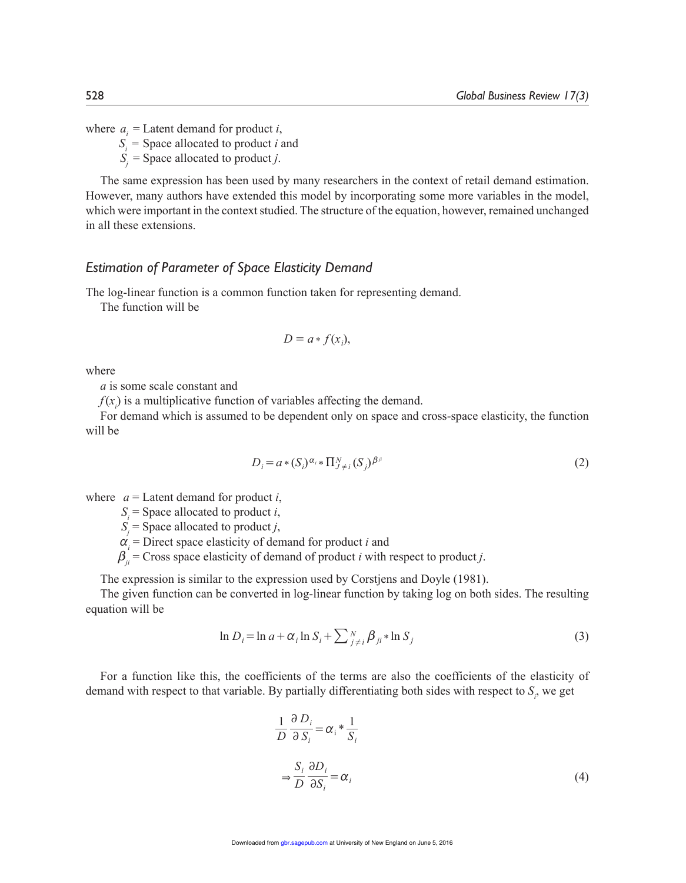where  $a_i$  = Latent demand for product *i*,

*S<sup>i</sup>* = Space allocated to product *i* and

 $S_j$  = Space allocated to product *j*.

The same expression has been used by many researchers in the context of retail demand estimation. However, many authors have extended this model by incorporating some more variables in the model, which were important in the context studied. The structure of the equation, however, remained unchanged in all these extensions.

#### *Estimation of Parameter of Space Elasticity Demand*

The log-linear function is a common function taken for representing demand.

The function will be

$$
D = a * f(x_i),
$$

where

*a* is some scale constant and

 $f(x)$  is a multiplicative function of variables affecting the demand.

For demand which is assumed to be dependent only on space and cross-space elasticity, the function will be

$$
D_i = a * (S_i)^{\alpha_i} * \Pi_{j \neq i}^N (S_j)^{\beta^j}
$$
 (2)

where  $a =$  Latent demand for product *i*,

 $S_i$  = Space allocated to product *i*,

 $S_j$  = Space allocated to product *j*,

 $\alpha_i$  = Direct space elasticity of demand for product *i* and

 $\beta_{ii}$  = Cross space elasticity of demand of product *i* with respect to product *j*.

The expression is similar to the expression used by Corstjens and Doyle (1981).

The given function can be converted in log-linear function by taking log on both sides. The resulting equation will be

$$
\ln D_i = \ln a + \alpha_i \ln S_i + \sum_{j \neq i}^N \beta_{ji} * \ln S_j
$$
\n(3)

For a function like this, the coefficients of the terms are also the coefficients of the elasticity of demand with respect to that variable. By partially differentiating both sides with respect to *S<sup>i</sup>* , we get

$$
\frac{1}{D} \frac{\partial D_i}{\partial S_i} = \alpha_i * \frac{1}{S_i}
$$
  

$$
\Rightarrow \frac{S_i}{D} \frac{\partial D_i}{\partial S_i} = \alpha_i
$$
 (4)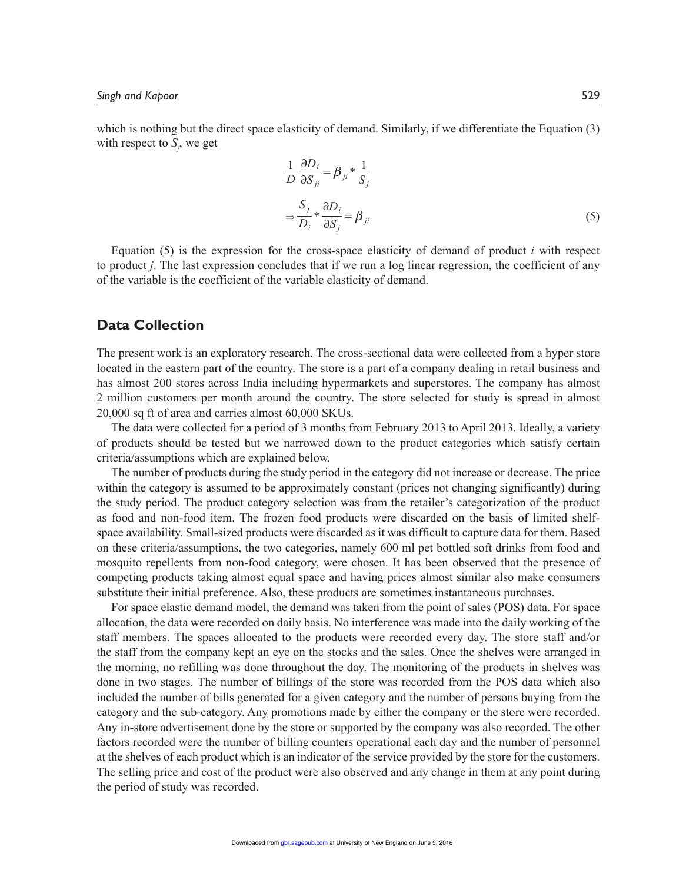which is nothing but the direct space elasticity of demand. Similarly, if we differentiate the Equation (3) with respect to *S<sup>j</sup>* , we get

$$
\frac{1}{D} \frac{\partial D_i}{\partial S_{ji}} = \beta_{ji} * \frac{1}{S_j}
$$
  

$$
\Rightarrow \frac{S_j}{D_i} * \frac{\partial D_i}{\partial S_j} = \beta_{ji}
$$
 (5)

Equation (5) is the expression for the cross-space elasticity of demand of product  $i$  with respect to product *j*. The last expression concludes that if we run a log linear regression, the coefficient of any of the variable is the coefficient of the variable elasticity of demand.

### **Data Collection**

The present work is an exploratory research. The cross-sectional data were collected from a hyper store located in the eastern part of the country. The store is a part of a company dealing in retail business and has almost 200 stores across India including hypermarkets and superstores. The company has almost 2 million customers per month around the country. The store selected for study is spread in almost 20,000 sq ft of area and carries almost 60,000 SKUs.

The data were collected for a period of 3 months from February 2013 to April 2013. Ideally, a variety of products should be tested but we narrowed down to the product categories which satisfy certain criteria/assumptions which are explained below.

The number of products during the study period in the category did not increase or decrease. The price within the category is assumed to be approximately constant (prices not changing significantly) during the study period. The product category selection was from the retailer's categorization of the product as food and non-food item. The frozen food products were discarded on the basis of limited shelfspace availability. Small-sized products were discarded as it was difficult to capture data for them. Based on these criteria/assumptions, the two categories, namely 600 ml pet bottled soft drinks from food and mosquito repellents from non-food category, were chosen. It has been observed that the presence of competing products taking almost equal space and having prices almost similar also make consumers substitute their initial preference. Also, these products are sometimes instantaneous purchases.

For space elastic demand model, the demand was taken from the point of sales (POS) data. For space allocation, the data were recorded on daily basis. No interference was made into the daily working of the staff members. The spaces allocated to the products were recorded every day. The store staff and/or the staff from the company kept an eye on the stocks and the sales. Once the shelves were arranged in the morning, no refilling was done throughout the day. The monitoring of the products in shelves was done in two stages. The number of billings of the store was recorded from the POS data which also included the number of bills generated for a given category and the number of persons buying from the category and the sub-category. Any promotions made by either the company or the store were recorded. Any in-store advertisement done by the store or supported by the company was also recorded. The other factors recorded were the number of billing counters operational each day and the number of personnel at the shelves of each product which is an indicator of the service provided by the store for the customers. The selling price and cost of the product were also observed and any change in them at any point during the period of study was recorded.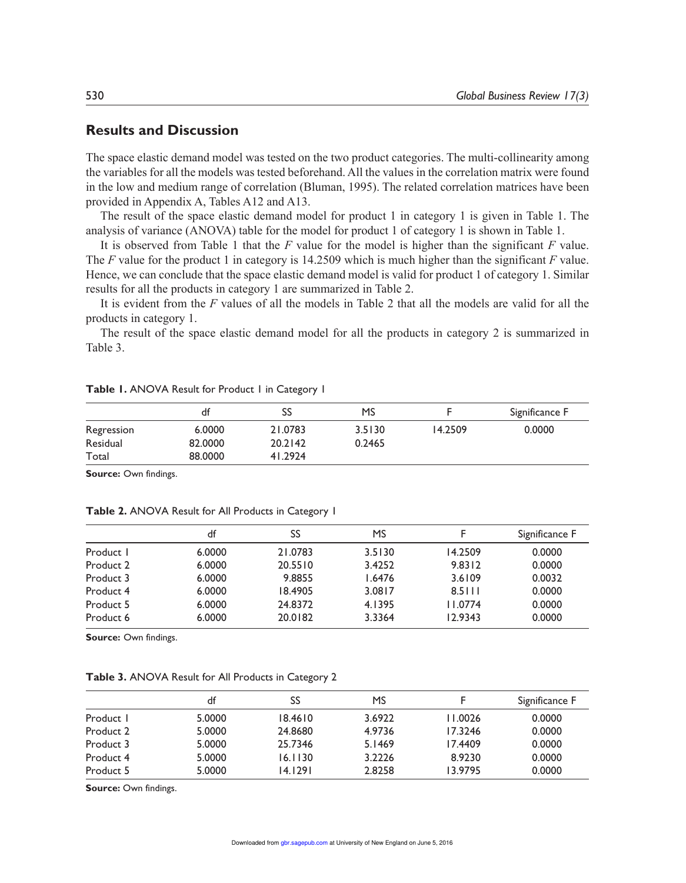## **Results and Discussion**

The space elastic demand model was tested on the two product categories. The multi-collinearity among the variables for all the models was tested beforehand. All the values in the correlation matrix were found in the low and medium range of correlation (Bluman, 1995). The related correlation matrices have been provided in Appendix A, Tables A12 and A13.

The result of the space elastic demand model for product 1 in category 1 is given in Table 1. The analysis of variance (ANOVA) table for the model for product 1 of category 1 is shown in Table 1.

It is observed from Table 1 that the *F* value for the model is higher than the significant *F* value. The *F* value for the product 1 in category is 14.2509 which is much higher than the significant *F* value. Hence, we can conclude that the space elastic demand model is valid for product 1 of category 1. Similar results for all the products in category 1 are summarized in Table 2.

It is evident from the *F* values of all the models in Table 2 that all the models are valid for all the products in category 1.

The result of the space elastic demand model for all the products in category 2 is summarized in Table 3.

|            | df      | SS      | MS     |         | Significance F |
|------------|---------|---------|--------|---------|----------------|
| Regression | 6.0000  | 21.0783 | 3.5130 | 14.2509 | 0.0000         |
| Residual   | 82,0000 | 20.2142 | 0.2465 |         |                |
| Total      | 88,0000 | 41.2924 |        |         |                |

| Table I. ANOVA Result for Product I in Category I |  |  |  |  |
|---------------------------------------------------|--|--|--|--|
|---------------------------------------------------|--|--|--|--|

**Source:** Own findings.

**Table 2.** ANOVA Result for All Products in Category 1

|           | df     | SS      | MS     | F       | Significance F |
|-----------|--------|---------|--------|---------|----------------|
| Product I | 6.0000 | 21.0783 | 3.5130 | 14.2509 | 0.0000         |
| Product 2 | 6.0000 | 20.5510 | 3.4252 | 9.8312  | 0.0000         |
| Product 3 | 6.0000 | 9.8855  | 1.6476 | 3.6109  | 0.0032         |
| Product 4 | 6.0000 | 18.4905 | 3.0817 | 8.5111  | 0.0000         |
| Product 5 | 6.0000 | 24.8372 | 4.1395 | 11.0774 | 0.0000         |
| Product 6 | 6.0000 | 20.0182 | 3.3364 | 12.9343 | 0.0000         |

**Source:** Own findings.

**Table 3.** ANOVA Result for All Products in Category 2

|           | df     | SS      | MS     |         | Significance F |
|-----------|--------|---------|--------|---------|----------------|
| Product 1 | 5.0000 | 18.4610 | 3.6922 | 11.0026 | 0.0000         |
| Product 2 | 5.0000 | 24.8680 | 4.9736 | 17.3246 | 0.0000         |
| Product 3 | 5.0000 | 25.7346 | 5.1469 | 17.4409 | 0.0000         |
| Product 4 | 5.0000 | 16.1130 | 3.2226 | 8.9230  | 0.0000         |
| Product 5 | 5.0000 | 14.1291 | 2.8258 | 13.9795 | 0.0000         |

**Source:** Own findings.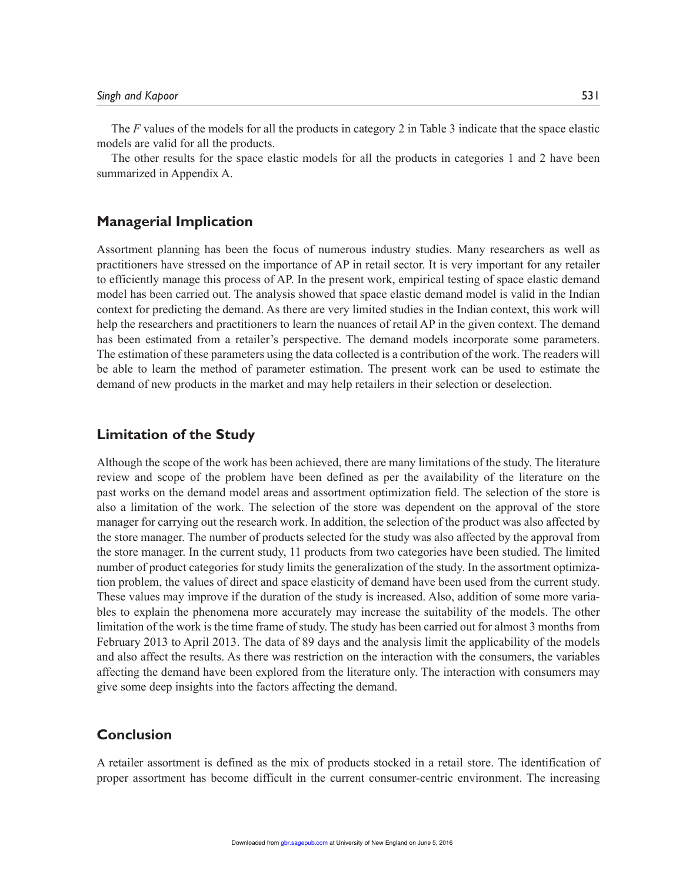The *F* values of the models for all the products in category 2 in Table 3 indicate that the space elastic models are valid for all the products.

The other results for the space elastic models for all the products in categories 1 and 2 have been summarized in Appendix A.

#### **Managerial Implication**

Assortment planning has been the focus of numerous industry studies. Many researchers as well as practitioners have stressed on the importance of AP in retail sector. It is very important for any retailer to efficiently manage this process of AP. In the present work, empirical testing of space elastic demand model has been carried out. The analysis showed that space elastic demand model is valid in the Indian context for predicting the demand. As there are very limited studies in the Indian context, this work will help the researchers and practitioners to learn the nuances of retail AP in the given context. The demand has been estimated from a retailer's perspective. The demand models incorporate some parameters. The estimation of these parameters using the data collected is a contribution of the work. The readers will be able to learn the method of parameter estimation. The present work can be used to estimate the demand of new products in the market and may help retailers in their selection or deselection.

### **Limitation of the Study**

Although the scope of the work has been achieved, there are many limitations of the study. The literature review and scope of the problem have been defined as per the availability of the literature on the past works on the demand model areas and assortment optimization field. The selection of the store is also a limitation of the work. The selection of the store was dependent on the approval of the store manager for carrying out the research work. In addition, the selection of the product was also affected by the store manager. The number of products selected for the study was also affected by the approval from the store manager. In the current study, 11 products from two categories have been studied. The limited number of product categories for study limits the generalization of the study. In the assortment optimization problem, the values of direct and space elasticity of demand have been used from the current study. These values may improve if the duration of the study is increased. Also, addition of some more variables to explain the phenomena more accurately may increase the suitability of the models. The other limitation of the work is the time frame of study. The study has been carried out for almost 3 months from February 2013 to April 2013. The data of 89 days and the analysis limit the applicability of the models and also affect the results. As there was restriction on the interaction with the consumers, the variables affecting the demand have been explored from the literature only. The interaction with consumers may give some deep insights into the factors affecting the demand.

### **Conclusion**

A retailer assortment is defined as the mix of products stocked in a retail store. The identification of proper assortment has become difficult in the current consumer-centric environment. The increasing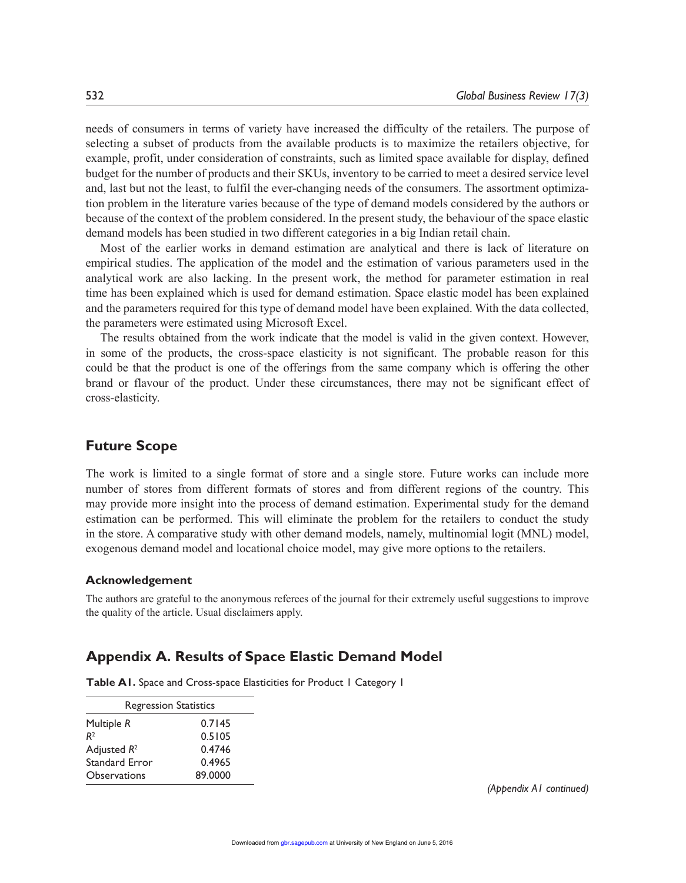needs of consumers in terms of variety have increased the difficulty of the retailers. The purpose of selecting a subset of products from the available products is to maximize the retailers objective, for example, profit, under consideration of constraints, such as limited space available for display, defined budget for the number of products and their SKUs, inventory to be carried to meet a desired service level and, last but not the least, to fulfil the ever-changing needs of the consumers. The assortment optimization problem in the literature varies because of the type of demand models considered by the authors or because of the context of the problem considered. In the present study, the behaviour of the space elastic demand models has been studied in two different categories in a big Indian retail chain.

Most of the earlier works in demand estimation are analytical and there is lack of literature on empirical studies. The application of the model and the estimation of various parameters used in the analytical work are also lacking. In the present work, the method for parameter estimation in real time has been explained which is used for demand estimation. Space elastic model has been explained and the parameters required for this type of demand model have been explained. With the data collected, the parameters were estimated using Microsoft Excel.

The results obtained from the work indicate that the model is valid in the given context. However, in some of the products, the cross-space elasticity is not significant. The probable reason for this could be that the product is one of the offerings from the same company which is offering the other brand or flavour of the product. Under these circumstances, there may not be significant effect of cross-elasticity.

### **Future Scope**

The work is limited to a single format of store and a single store. Future works can include more number of stores from different formats of stores and from different regions of the country. This may provide more insight into the process of demand estimation. Experimental study for the demand estimation can be performed. This will eliminate the problem for the retailers to conduct the study in the store. A comparative study with other demand models, namely, multinomial logit (MNL) model, exogenous demand model and locational choice model, may give more options to the retailers.

#### **Acknowledgement**

The authors are grateful to the anonymous referees of the journal for their extremely useful suggestions to improve the quality of the article. Usual disclaimers apply.

#### **Appendix A. Results of Space Elastic Demand Model**

**Table A1.** Space and Cross-space Elasticities for Product 1 Category 1

|                     | <b>Regression Statistics</b> |  |  |  |  |
|---------------------|------------------------------|--|--|--|--|
| Multiple R          | 0.7145                       |  |  |  |  |
| R <sup>2</sup>      | 0.5105                       |  |  |  |  |
| Adjusted $R^2$      | 0.4746                       |  |  |  |  |
| Standard Error      | 0.4965                       |  |  |  |  |
| <b>Observations</b> | 89.0000                      |  |  |  |  |

*(Appendix A1 continued)*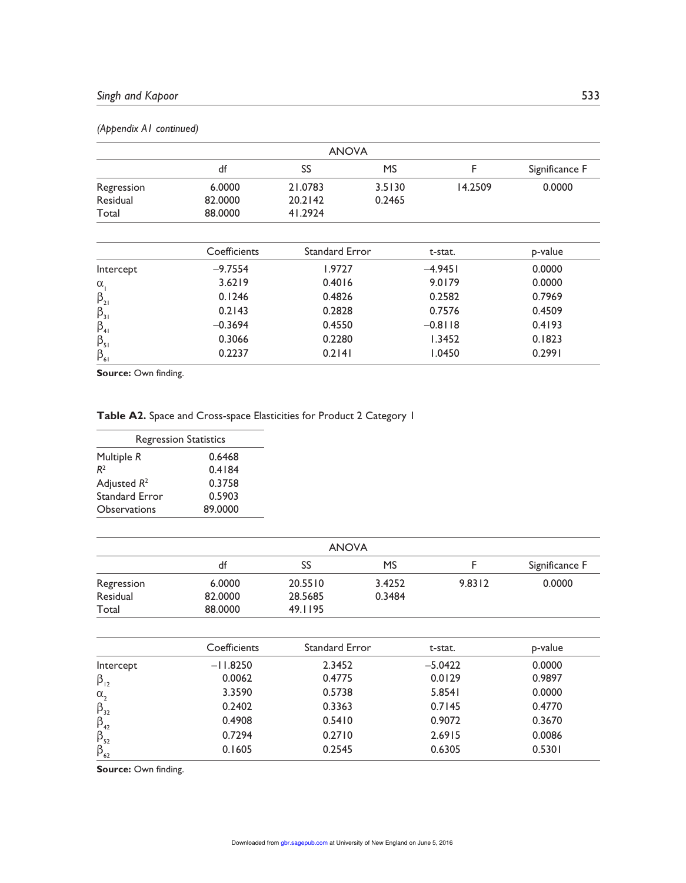|                                                                                   |              | <b>ANOVA</b>   |           |           |                |
|-----------------------------------------------------------------------------------|--------------|----------------|-----------|-----------|----------------|
|                                                                                   | df           | SS             | <b>MS</b> | F         | Significance F |
| Regression                                                                        | 6.0000       | 21.0783        | 3.5130    | 14.2509   | 0.0000         |
| Residual                                                                          | 82.0000      | 20.2142        | 0.2465    |           |                |
| Total                                                                             | 88,0000      | 41.2924        |           |           |                |
|                                                                                   |              |                |           |           |                |
|                                                                                   | Coefficients | Standard Error |           | t-stat.   | p-value        |
| Intercept                                                                         | $-9.7554$    | 1.9727         |           | $-4.9451$ | 0.0000         |
| $\alpha_{1}$                                                                      | 3.6219       | 0.4016         |           | 9.0179    | 0.0000         |
|                                                                                   | 0.1246       | 0.4826         |           | 0.2582    | 0.7969         |
|                                                                                   | 0.2143       | 0.2828         |           | 0.7576    | 0.4509         |
|                                                                                   | $-0.3694$    | 0.4550         |           | $-0.8118$ | 0.4193         |
| $\begin{array}{c}\beta_{21} \\ \beta_{31} \\ \beta_{41} \\ \beta_{51}\end{array}$ | 0.3066       | 0.2280         |           | 1.3452    | 0.1823         |
| $\beta_{61}$                                                                      | 0.2237       | 0.2141         |           | 1.0450    | 0.2991         |

#### *(Appendix A1 continued)*

**Source: Own finding.** 

## **Table A2.** Space and Cross-space Elasticities for Product 2 Category 1

| <b>Regression Statistics</b> |         |  |  |  |
|------------------------------|---------|--|--|--|
| Multiple R                   | 0.6468  |  |  |  |
| R <sup>2</sup>               | 0.4184  |  |  |  |
| Adjusted $R^2$               | 0.3758  |  |  |  |
| Standard Error               | 0.5903  |  |  |  |
| Observations                 | 89.0000 |  |  |  |

| <b>ANOVA</b> |         |         |           |        |                |
|--------------|---------|---------|-----------|--------|----------------|
|              | df      | SS      | <b>MS</b> |        | Significance F |
| Regression   | 6.0000  | 20.5510 | 3.4252    | 9.8312 | 0.0000         |
| Residual     | 82,0000 | 28.5685 | 0.3484    |        |                |
| Total        | 88,0000 | 49.1195 |           |        |                |

|                                 | Coefficients | Standard Error | t-stat.   | p-value |
|---------------------------------|--------------|----------------|-----------|---------|
| Intercept                       | $-11.8250$   | 2.3452         | $-5.0422$ | 0.0000  |
| $\beta_{12}$                    | 0.0062       | 0.4775         | 0.0129    | 0.9897  |
| $\alpha_{2}$                    | 3.3590       | 0.5738         | 5.8541    | 0.0000  |
| $\beta_{32}$                    | 0.2402       | 0.3363         | 0.7145    | 0.4770  |
|                                 | 0.4908       | 0.5410         | 0.9072    | 0.3670  |
| $\beta_{_{42}}$ $\beta_{_{52}}$ | 0.7294       | 0.2710         | 2.6915    | 0.0086  |
| $\beta_{62}$                    | 0.1605       | 0.2545         | 0.6305    | 0.5301  |

**Source:** Own finding.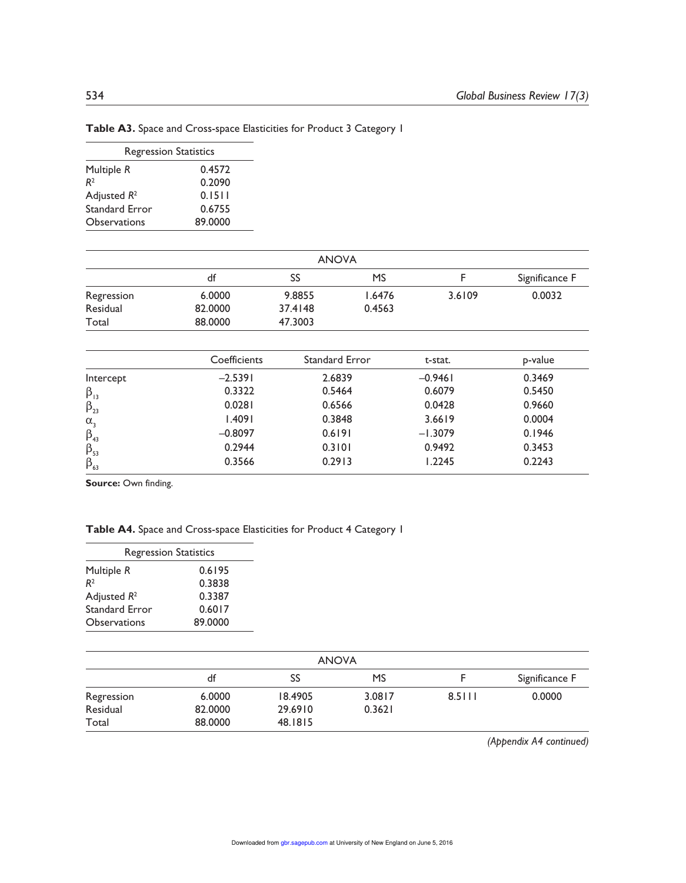| <b>Regression Statistics</b> |         |
|------------------------------|---------|
| Multiple R                   | 0.4572  |
| R <sup>2</sup>               | 0.2090  |
| Adjusted $R^2$               | 0.1511  |
| Standard Error               | 0.6755  |
| Observations                 | 89.0000 |

| Table A3. Space and Cross-space Elasticities for Product 3 Category I |  |  |  |  |  |
|-----------------------------------------------------------------------|--|--|--|--|--|
|-----------------------------------------------------------------------|--|--|--|--|--|

| <b>ANOVA</b> |         |         |        |        |                |
|--------------|---------|---------|--------|--------|----------------|
|              | df      | SS      | MS     |        | Significance F |
| Regression   | 6.0000  | 9.8855  | 1.6476 | 3.6109 | 0.0032         |
| Residual     | 82.0000 | 37.4148 | 0.4563 |        |                |
| Total        | 88,0000 | 47.3003 |        |        |                |

|              | Coefficients | Standard Error | t-stat.   | p-value |
|--------------|--------------|----------------|-----------|---------|
| Intercept    | $-2.5391$    | 2.6839         | $-0.9461$ | 0.3469  |
| $\beta_{13}$ | 0.3322       | 0.5464         | 0.6079    | 0.5450  |
| $\beta_{23}$ | 0.0281       | 0.6566         | 0.0428    | 0.9660  |
| $\alpha_{3}$ | 1.4091       | 0.3848         | 3.6619    | 0.0004  |
| $\beta_{43}$ | $-0.8097$    | 0.6191         | $-1.3079$ | 0.1946  |
| $\beta_{53}$ | 0.2944       | 0.3101         | 0.9492    | 0.3453  |
| $\beta_{63}$ | 0.3566       | 0.2913         | 1.2245    | 0.2243  |

Source: Own finding.

## **Table A4.** Space and Cross-space Elasticities for Product 4 Category 1

| <b>Regression Statistics</b> |  |  |
|------------------------------|--|--|
| 0.6195                       |  |  |
| 0.3838                       |  |  |
| 0.3387                       |  |  |
| 0.6017                       |  |  |
| 89,0000                      |  |  |
|                              |  |  |

| <b>ANOVA</b> |         |         |        |        |                |
|--------------|---------|---------|--------|--------|----------------|
|              | df      | SS      | MS     |        | Significance F |
| Regression   | 6.0000  | 18.4905 | 3.0817 | 8.5111 | 0.0000         |
| Residual     | 82,0000 | 29.6910 | 0.3621 |        |                |
| Total        | 88,0000 | 48.1815 |        |        |                |

*(Appendix A4 continued)*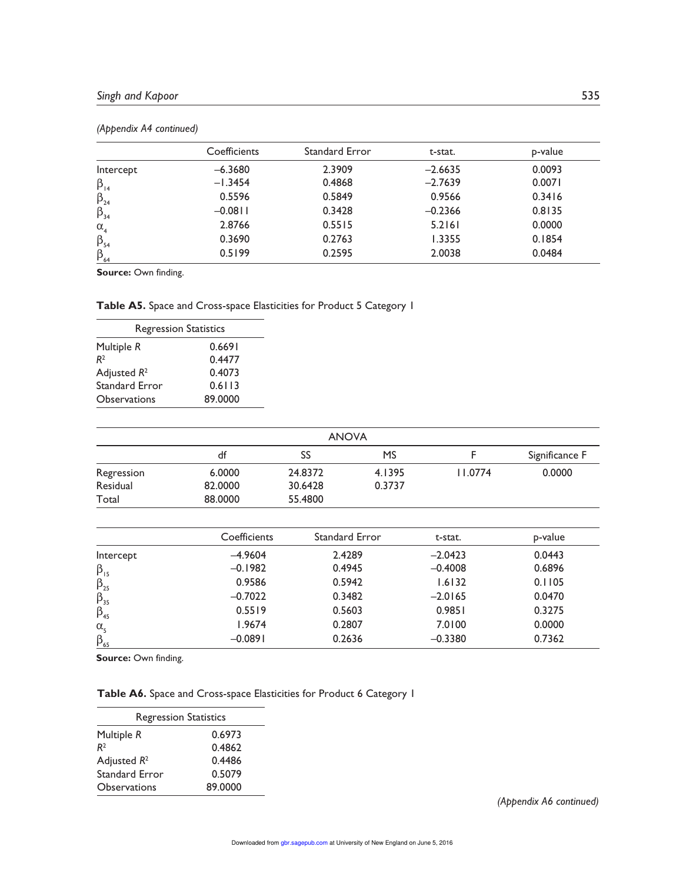|              | Coefficients | Standard Error | t-stat.   | p-value |
|--------------|--------------|----------------|-----------|---------|
| Intercept    | $-6.3680$    | 2.3909         | $-2.6635$ | 0.0093  |
| $\beta_{14}$ | $-1.3454$    | 0.4868         | $-2.7639$ | 0.0071  |
| $\beta_{24}$ | 0.5596       | 0.5849         | 0.9566    | 0.3416  |
| $\beta_{34}$ | $-0.08$      | 0.3428         | $-0.2366$ | 0.8135  |
| $\alpha_{4}$ | 2.8766       | 0.5515         | 5.2161    | 0.0000  |
| $\beta_{54}$ | 0.3690       | 0.2763         | 1.3355    | 0.1854  |
| $\beta_{64}$ | 0.5199       | 0.2595         | 2.0038    | 0.0484  |

#### *(Appendix A4 continued)*

**Source:** Own finding.

#### **Table A5.** Space and Cross-space Elasticities for Product 5 Category 1

| <b>Regression Statistics</b> |
|------------------------------|
| 0.6691                       |
| 0.4477                       |
| 0.4073                       |
| 0.6113                       |
| 89.0000                      |
|                              |

|            | df      | SS      | <b>MS</b> |         | Significance F |
|------------|---------|---------|-----------|---------|----------------|
| Regression | 6.0000  | 24.8372 | 4.1395    | 11.0774 | 0.0000         |
| Residual   | 82.0000 | 30.6428 | 0.3737    |         |                |
| Total      | 88,0000 | 55.4800 |           |         |                |

|                  | Coefficients | <b>Standard Error</b> | t-stat.   | p-value |
|------------------|--------------|-----------------------|-----------|---------|
| Intercept        | $-4.9604$    | 2.4289                | $-2.0423$ | 0.0443  |
| $\beta_{15}$     | $-0.1982$    | 0.4945                | $-0.4008$ | 0.6896  |
| $\beta_{25}$     | 0.9586       | 0.5942                | 1.6132    | 0.1105  |
| $\beta_{35}$     | $-0.7022$    | 0.3482                | $-2.0165$ | 0.0470  |
| $\beta_{45}$     | 0.5519       | 0.5603                | 0.9851    | 0.3275  |
| $\alpha_{\rm s}$ | 1.9674       | 0.2807                | 7.0100    | 0.0000  |
| $\beta_{65}$     | $-0.0891$    | 0.2636                | $-0.3380$ | 0.7362  |

**Source: Own finding.** 

## **Table A6.** Space and Cross-space Elasticities for Product 6 Category 1

| <b>Regression Statistics</b> |         |
|------------------------------|---------|
| Multiple R                   | 0.6973  |
| R <sup>2</sup>               | 0.4862  |
| Adjusted $R^2$               | 0.4486  |
| Standard Error               | 0.5079  |
| Observations                 | 89.0000 |

*(Appendix A6 continued)*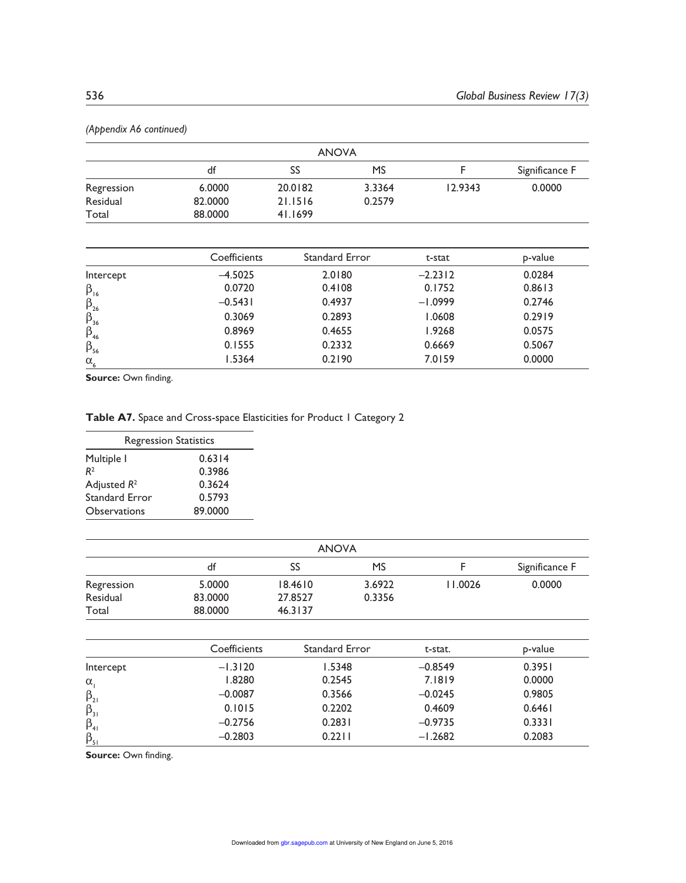|            | <b>ANOVA</b> |                   |           |             |                |
|------------|--------------|-------------------|-----------|-------------|----------------|
|            | df           | SS                | <b>MS</b> |             | Significance F |
| Regression | 6.0000       | 20.0182           | 3.3364    | 12.9343     | 0.0000         |
| Residual   | 82.0000      | 21.1516           | 0.2579    |             |                |
| Total      | 88,0000      | 41.1699           |           |             |                |
|            |              |                   |           |             |                |
|            | $C = H(x)$   | Considered Engels |           | $+ - - - -$ | المنافين ب     |

*(Appendix A6 continued)*

| p-value |
|---------|
|         |
| 0.0284  |
| 0.8613  |
| 0.2746  |
| 0.2919  |
| 0.0575  |
| 0.5067  |
| 0.0000  |
|         |

Source: Own finding.

 $\alpha_{\epsilon}$ 

#### **Table A7.** Space and Cross-space Elasticities for Product 1 Category 2

| <b>Regression Statistics</b> |         |
|------------------------------|---------|
| Multiple I                   | 0.6314  |
| R <sup>2</sup>               | 0.3986  |
| Adjusted $R^2$               | 0.3624  |
| Standard Error               | 0.5793  |
| Observations                 | 89.0000 |

| SS      | MS     |         |                |
|---------|--------|---------|----------------|
|         |        |         | Significance F |
| 18.4610 | 3.6922 | 11.0026 | 0.0000         |
| 27.8527 | 0.3356 |         |                |
| 46.3137 |        |         |                |
|         |        |         |                |

|              | Coefficients | <b>Standard Error</b> | t-stat.   | p-value |
|--------------|--------------|-----------------------|-----------|---------|
| Intercept    | $-1.3120$    | 1.5348                | $-0.8549$ | 0.3951  |
| $\alpha$     | 1.8280       | 0.2545                | 7.1819    | 0.0000  |
| $\beta_{21}$ | $-0.0087$    | 0.3566                | $-0.0245$ | 0.9805  |
| $\beta_{31}$ | 0.1015       | 0.2202                | 0.4609    | 0.6461  |
| $\beta_{41}$ | $-0.2756$    | 0.2831                | $-0.9735$ | 0.3331  |
| $\beta_{51}$ | $-0.2803$    | 0.2211                | $-1.2682$ | 0.2083  |

Source: Own finding.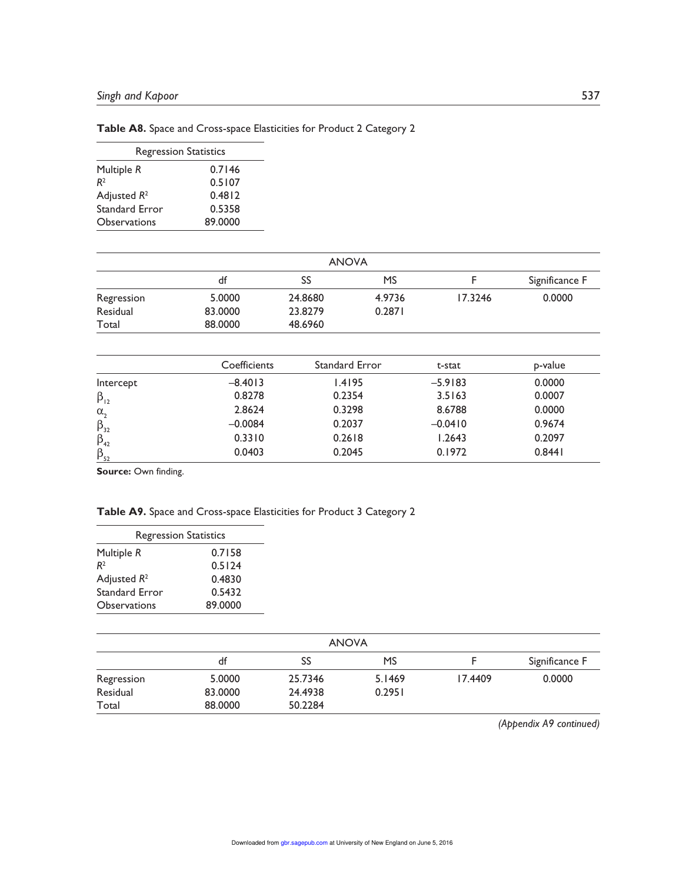| Table A8. Space and Cross-space Elasticities for Product 2 Category 2 |  |  |  |  |
|-----------------------------------------------------------------------|--|--|--|--|
|-----------------------------------------------------------------------|--|--|--|--|

| <b>Regression Statistics</b> |         |  |  |  |
|------------------------------|---------|--|--|--|
| Multiple R                   | 0.7146  |  |  |  |
| R <sup>2</sup>               | 0.5107  |  |  |  |
| Adjusted $R^2$               | 0.4812  |  |  |  |
| Standard Error               | 0.5358  |  |  |  |
| Observations                 | 89.0000 |  |  |  |

| <b>ANOVA</b> |         |         |        |         |                |
|--------------|---------|---------|--------|---------|----------------|
|              | df      | SS      | MS     |         | Significance F |
| Regression   | 5.0000  | 24.8680 | 4.9736 | 17.3246 | 0.0000         |
| Residual     | 83,0000 | 23.8279 | 0.2871 |         |                |
| Total        | 88,0000 | 48.6960 |        |         |                |

|                       | Coefficients | <b>Standard Error</b> | t-stat    | p-value |
|-----------------------|--------------|-----------------------|-----------|---------|
| Intercept             | $-8.4013$    | 1.4195                | $-5.9183$ | 0.0000  |
| $\beta_{12}$          | 0.8278       | 0.2354                | 3.5163    | 0.0007  |
| $\alpha$ <sub>2</sub> | 2.8624       | 0.3298                | 8.6788    | 0.0000  |
| $\beta_{32}$          | $-0.0084$    | 0.2037                | $-0.0410$ | 0.9674  |
| $\beta_{42}$          | 0.3310       | 0.2618                | 1.2643    | 0.2097  |
| $\beta_{52}$          | 0.0403       | 0.2045                | 0.1972    | 0.8441  |

Source: Own finding.

#### **Table A9.** Space and Cross-space Elasticities for Product 3 Category 2

| <b>Regression Statistics</b> |  |  |  |  |
|------------------------------|--|--|--|--|
| 0.7158                       |  |  |  |  |
| 0.5124                       |  |  |  |  |
| 0.4830                       |  |  |  |  |
| 0.5432                       |  |  |  |  |
| 89.0000                      |  |  |  |  |
|                              |  |  |  |  |

| <b>ANOVA</b> |         |         |        |         |                |
|--------------|---------|---------|--------|---------|----------------|
|              | df      | SS      | MS     |         | Significance F |
| Regression   | 5.0000  | 25.7346 | 5.1469 | 17.4409 | 0.0000         |
| Residual     | 83,0000 | 24.4938 | 0.2951 |         |                |
| Total        | 88,0000 | 50.2284 |        |         |                |

*(Appendix A9 continued)*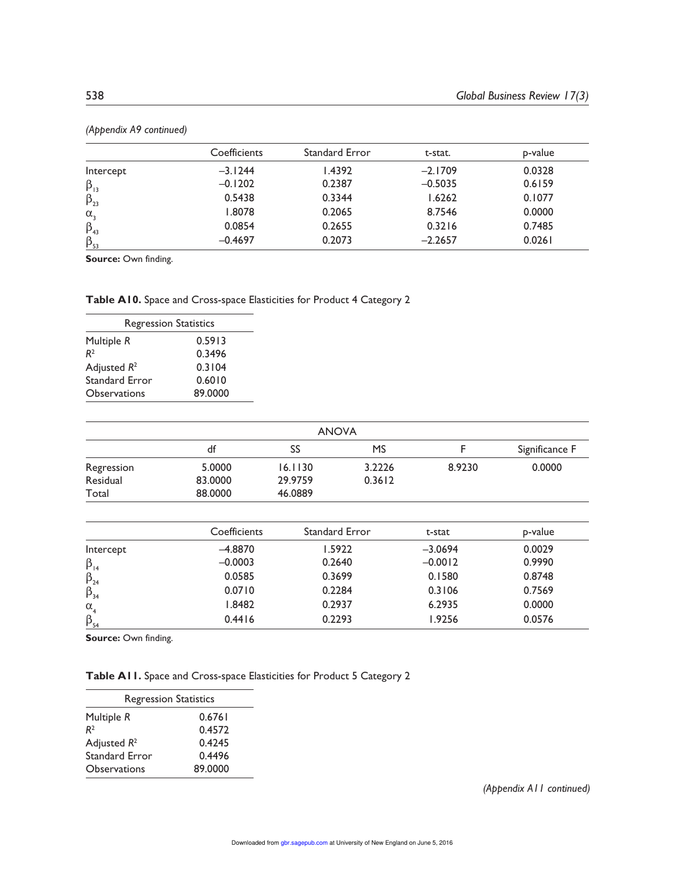|              | Coefficients | <b>Standard Error</b> | t-stat.   | p-value |
|--------------|--------------|-----------------------|-----------|---------|
| Intercept    | $-3.1244$    | 1.4392                | $-2.1709$ | 0.0328  |
| $\beta_{13}$ | $-0.1202$    | 0.2387                | $-0.5035$ | 0.6159  |
| $\beta_{23}$ | 0.5438       | 0.3344                | 1.6262    | 0.1077  |
| $\alpha$ ,   | 1.8078       | 0.2065                | 8.7546    | 0.0000  |
| $\beta_{43}$ | 0.0854       | 0.2655                | 0.3216    | 0.7485  |
| $\beta_{53}$ | $-0.4697$    | 0.2073                | $-2.2657$ | 0.0261  |

*(Appendix A9 continued)*

**Source: Own finding.** 

#### **Table A10.** Space and Cross-space Elasticities for Product 4 Category 2

| <b>Regression Statistics</b> |         |  |  |  |
|------------------------------|---------|--|--|--|
| Multiple R                   | 0.5913  |  |  |  |
| R <sup>2</sup>               | 0.3496  |  |  |  |
| Adjusted $R^2$               | 0.3104  |  |  |  |
| Standard Error               | 0.6010  |  |  |  |
| Observations                 | 89.0000 |  |  |  |

| <b>ANOVA</b> |         |         |        |        |                |
|--------------|---------|---------|--------|--------|----------------|
|              | df      | SS      | MS     |        | Significance F |
| Regression   | 5.0000  | 16.1130 | 3.2226 | 8.9230 | 0.0000         |
| Residual     | 83,0000 | 29.9759 | 0.3612 |        |                |
| Total        | 88,0000 | 46.0889 |        |        |                |

|                       | Coefficients | <b>Standard Error</b> | t-stat    | p-value |
|-----------------------|--------------|-----------------------|-----------|---------|
| Intercept             | $-4.8870$    | 1.5922                | $-3.0694$ | 0.0029  |
| $\beta_{14}$          | $-0.0003$    | 0.2640                | $-0.0012$ | 0.9990  |
| $\beta_{24}$          | 0.0585       | 0.3699                | 0.1580    | 0.8748  |
| $\beta_{34}$          | 0.0710       | 0.2284                | 0.3106    | 0.7569  |
| $\alpha$ <sub>4</sub> | 1.8482       | 0.2937                | 6.2935    | 0.0000  |
| $\beta_{54}$          | 0.4416       | 0.2293                | 1.9256    | 0.0576  |

**Source:** Own finding.

| <b>Table AII.</b> Space and Cross-space Elasticities for Product 5 Category 2 |  |  |  |
|-------------------------------------------------------------------------------|--|--|--|
|-------------------------------------------------------------------------------|--|--|--|

| <b>Regression Statistics</b> |         |  |  |  |
|------------------------------|---------|--|--|--|
| Multiple R                   | 0.6761  |  |  |  |
| R <sup>2</sup>               | 0.4572  |  |  |  |
| Adjusted $R^2$               | 0.4245  |  |  |  |
| Standard Error               | 0.4496  |  |  |  |
| Observations                 | 89,0000 |  |  |  |

*(Appendix A11 continued)*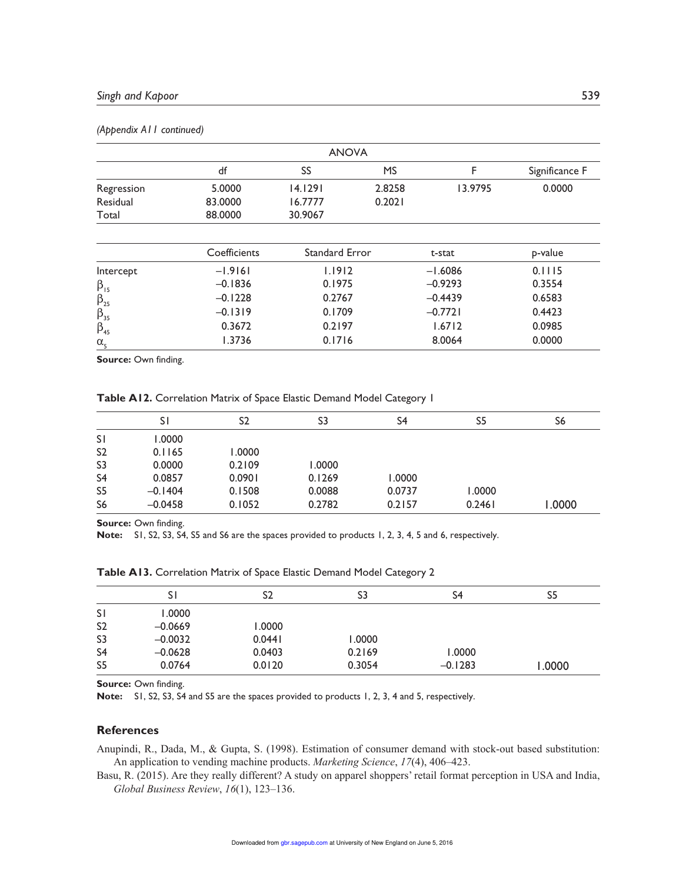| <b>ANOVA</b>                                                       |              |                |           |           |                |  |
|--------------------------------------------------------------------|--------------|----------------|-----------|-----------|----------------|--|
|                                                                    | df           | SS             | <b>MS</b> | F         | Significance F |  |
| Regression                                                         | 5.0000       | 14.1291        | 2.8258    | 13.9795   | 0.0000         |  |
| Residual                                                           | 83,0000      | 16.7777        | 0.2021    |           |                |  |
| Total                                                              | 88,0000      | 30.9067        |           |           |                |  |
|                                                                    | Coefficients | Standard Error |           | t-stat    | p-value        |  |
| Intercept                                                          | $-1.9161$    | 1.1912         |           | $-1.6086$ | 0.1115         |  |
|                                                                    | $-0.1836$    | 0.1975         |           | $-0.9293$ | 0.3554         |  |
| $\begin{matrix}\beta_{15} \\ \beta_{25} \\ \beta_{35}\end{matrix}$ | $-0.1228$    | 0.2767         |           | $-0.4439$ | 0.6583         |  |
|                                                                    | $-0.1319$    | 0.1709         |           | $-0.7721$ | 0.4423         |  |
| $\beta_{45}$                                                       | 0.3672       | 0.2197         |           | 1.6712    | 0.0985         |  |
| $\alpha_{\rm s}$                                                   | 1.3736       | 0.1716         |           | 8.0064    | 0.0000         |  |

#### *(Appendix A11 continued)*

Source: Own finding.

**Table A12.** Correlation Matrix of Space Elastic Demand Model Category 1

|                | S١        | S2     | S3     | S4     | S5     | S6     |
|----------------|-----------|--------|--------|--------|--------|--------|
| <b>SI</b>      | 1.0000    |        |        |        |        |        |
| S <sub>2</sub> | 0.1165    | 1.0000 |        |        |        |        |
| S <sub>3</sub> | 0.0000    | 0.2109 | 1.0000 |        |        |        |
| S <sub>4</sub> | 0.0857    | 0.0901 | 0.1269 | 1.0000 |        |        |
| S <sub>5</sub> | $-0.1404$ | 0.1508 | 0.0088 | 0.0737 | 1.0000 |        |
| S <sub>6</sub> | $-0.0458$ | 0.1052 | 0.2782 | 0.2157 | 0.2461 | 1.0000 |

Source: Own finding.

**Note:** S1, S2, S3, S4, S5 and S6 are the spaces provided to products 1, 2, 3, 4, 5 and 6, respectively.

|                | S١        | S <sub>2</sub> | S3     | S4        | S <sub>5</sub> |
|----------------|-----------|----------------|--------|-----------|----------------|
| SΙ             | 1.0000    |                |        |           |                |
| S <sub>2</sub> | $-0.0669$ | 0000.1         |        |           |                |
| S <sub>3</sub> | $-0.0032$ | 0.0441         | 1.0000 |           |                |
| S <sub>4</sub> | $-0.0628$ | 0.0403         | 0.2169 | 1.0000    |                |
| S <sub>5</sub> | 0.0764    | 0.0120         | 0.3054 | $-0.1283$ | 1.0000         |

**Table A13.** Correlation Matrix of Space Elastic Demand Model Category 2

Source: Own finding.

**Note:** S1, S2, S3, S4 and S5 are the spaces provided to products 1, 2, 3, 4 and 5, respectively.

#### **References**

Anupindi, R., Dada, M., & Gupta, S. (1998). Estimation of consumer demand with stock-out based substitution: An application to vending machine products. *Marketing Science*, *17*(4), 406–423.

Basu, R. (2015). Are they really different? A study on apparel shoppers' retail format perception in USA and India, *Global Business Review*, *16*(1), 123–136.